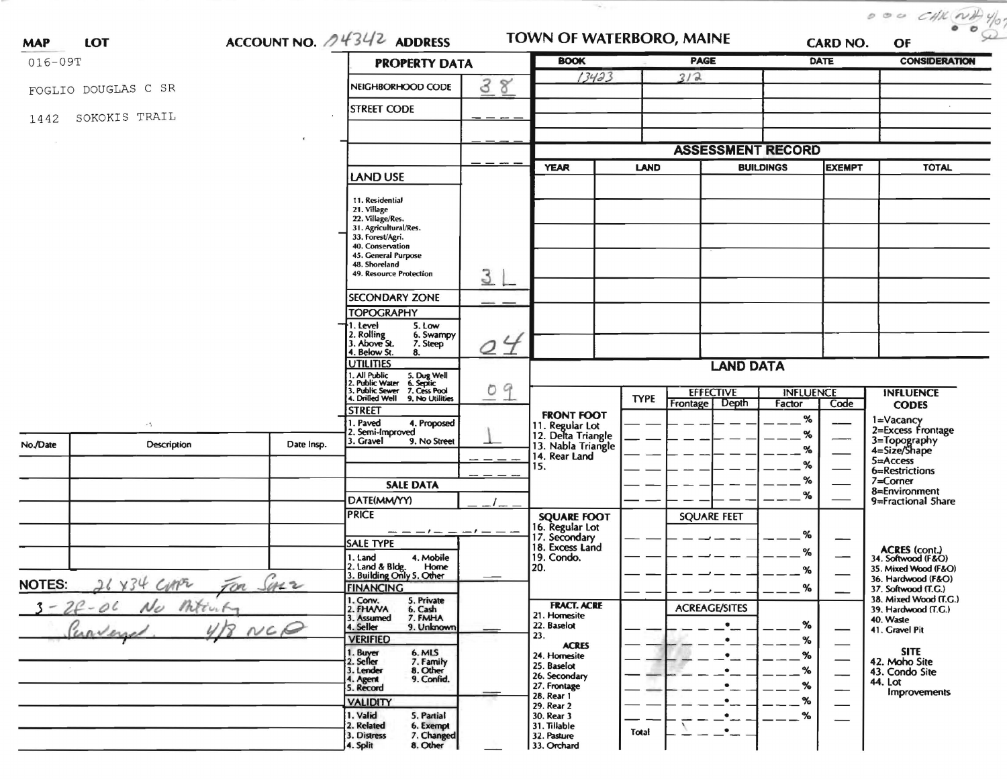| <b>MAP</b>    | LOT                 | ACCOUNT NO. $\sqrt{4342}$ ADDRESS |                                                                                                                                                                                        |                              | 95<br>TOWN OF WATERBORO, MAINE                              |             |                                       |                            | <b>CARD NO.</b>               | $000$ CHK $\frac{1}{10}$ $\frac{1}{10}$<br>OF |
|---------------|---------------------|-----------------------------------|----------------------------------------------------------------------------------------------------------------------------------------------------------------------------------------|------------------------------|-------------------------------------------------------------|-------------|---------------------------------------|----------------------------|-------------------------------|-----------------------------------------------|
| 016-09T       |                     |                                   | <b>PROPERTY DATA</b>                                                                                                                                                                   | <b>BOOK</b>                  | <b>PAGE</b>                                                 |             |                                       | <b>DATE</b>                | <b>CONSIDERATION</b>          |                                               |
|               |                     |                                   |                                                                                                                                                                                        |                              | 13423                                                       |             | 3/2                                   |                            |                               |                                               |
|               | FOGLIO DOUGLAS C SR |                                   | NEIGHBORHOOD CODE                                                                                                                                                                      | 3<br>$\boldsymbol{8}^\prime$ |                                                             |             |                                       |                            |                               |                                               |
| 1442          | SOKOKIS TRAIL       |                                   | <b>STREET CODE</b>                                                                                                                                                                     |                              |                                                             |             |                                       |                            |                               |                                               |
|               |                     |                                   |                                                                                                                                                                                        |                              |                                                             |             | <b>ASSESSMENT RECORD</b>              |                            |                               |                                               |
|               |                     |                                   |                                                                                                                                                                                        |                              | <b>YEAR</b>                                                 | <b>LAND</b> |                                       | <b>BUILDINGS</b>           | <b>EXEMPT</b>                 | <b>TOTAL</b>                                  |
|               |                     |                                   | LAND USE                                                                                                                                                                               |                              |                                                             |             |                                       |                            |                               |                                               |
|               |                     |                                   | 11. Residential<br>21. Village<br>22. Village/Res.<br>31. Agricultural/Res.<br>33. Forest/Agri.<br>40. Conservation<br>45. General Purpose<br>48. Shoreland<br>49. Resource Protection | 3                            |                                                             |             |                                       |                            |                               |                                               |
|               |                     |                                   | <b>SECONDARY ZONE</b>                                                                                                                                                                  |                              |                                                             |             |                                       |                            |                               |                                               |
|               |                     |                                   | <b>TOPOGRAPHY</b>                                                                                                                                                                      |                              |                                                             |             |                                       |                            |                               |                                               |
|               |                     |                                   | 5. Low<br>1. Level<br>2. Rolling<br>3. Above St.<br>6. Swampy<br>7. Steep<br>4. Below St.<br>8.                                                                                        | Q                            |                                                             |             |                                       |                            |                               |                                               |
|               |                     |                                   | <b>UTILITIES</b>                                                                                                                                                                       |                              |                                                             |             | <b>LAND DATA</b>                      |                            |                               |                                               |
|               |                     |                                   | 1. All Public 5. Dug Well<br>2. Public Water 6. Septic<br>3. Public Sewer 7. Cess Pool                                                                                                 | Ö                            |                                                             |             |                                       |                            |                               |                                               |
|               |                     |                                   | 4. Drilled Well 9. No Utilities                                                                                                                                                        | 9                            |                                                             | <b>TYPE</b> | <b>EFFECTIVE</b><br>Depth<br>Frontage | <b>INFLUENCE</b><br>Factor | Code                          | <b>INFLUENCE</b><br><b>CODES</b>              |
|               | $\sim$ 7            |                                   | <b>STREET</b><br>1. Paved<br>4. Proposed                                                                                                                                               |                              | <b>FRONT FOOT</b>                                           |             |                                       | %                          |                               | 1=Vacancy<br>2=Excess Frontage                |
|               |                     |                                   | 2. Semi-Improved<br>3. Gravel<br>9. No Street                                                                                                                                          |                              | 11. Regular Lot<br>12. Delta Triangle<br>13. Nabla Triangle |             |                                       | %                          |                               |                                               |
| No./Date      | Description         | Date Insp.                        |                                                                                                                                                                                        |                              | 14. Rear Land                                               |             |                                       | $\%$                       |                               | 3=Topography<br>4=Size/Shape                  |
|               |                     |                                   |                                                                                                                                                                                        |                              | 15.                                                         |             |                                       | $\%$                       |                               | 5=Access<br>6=Restrictions                    |
|               |                     |                                   | <b>SALE DATA</b>                                                                                                                                                                       |                              |                                                             |             |                                       | %                          |                               | 7=Corner                                      |
|               |                     |                                   | DATE(MM/YY)                                                                                                                                                                            |                              |                                                             |             |                                       | $\%$                       |                               | 8=Environment<br>9=Fractional 5hare           |
|               |                     |                                   | <b>PRICE</b>                                                                                                                                                                           |                              | <b>SQUARE FOOT</b>                                          |             | <b>SQUARE FEET</b>                    |                            |                               |                                               |
|               |                     |                                   | $--- - - - - - - - -$                                                                                                                                                                  |                              | 16. Regular Lot<br>17. Secondary                            |             |                                       |                            |                               |                                               |
|               |                     |                                   | <b>SALE TYPE</b>                                                                                                                                                                       |                              | 18. Excess Land                                             |             |                                       | %                          | –                             |                                               |
|               |                     |                                   | 1. Land<br>4. Mobile                                                                                                                                                                   |                              | 19. Condo.                                                  |             |                                       | ℅                          |                               | ACRES (cont.)<br>34. Softwood (F&O)           |
|               |                     |                                   | 2. Land & Bldg.<br>Home<br>3. Building Only 5. Other                                                                                                                                   |                              | 20.                                                         |             |                                       | %                          |                               | 35. Mixed Wood (F&O)                          |
| <b>NOTES:</b> |                     | Sarr                              | <b>FINANCING</b>                                                                                                                                                                       |                              |                                                             |             |                                       | %                          |                               | 36. Hardwood (F&O)<br>37. Softwood (T.G.)     |
|               | $20 - 06$           |                                   | 1. Conv.<br>5. Private                                                                                                                                                                 |                              | <b>FRACT. ACRE</b>                                          |             |                                       |                            |                               | 38. Mixed Wood (T.G.)                         |
|               |                     |                                   | 2. FHAVA<br>6. Cash<br>7. FMHA<br>3. Assumed                                                                                                                                           |                              | 21. Homesite                                                |             | <b>ACREAGE/SITES</b>                  |                            |                               | 39. Hardwood (T.G.)<br>40. Waste              |
|               |                     | NCQ                               | 9. Unknown<br>4. Seller                                                                                                                                                                |                              | 22. Baselot                                                 |             |                                       | $\%$                       |                               | 41. Gravel Pit                                |
|               |                     |                                   | <b>VERIFIED</b>                                                                                                                                                                        |                              | 23.<br><b>ACRES</b>                                         |             |                                       | %                          |                               |                                               |
|               |                     |                                   | 1. Buyer<br>2. Seller<br>6. MLS                                                                                                                                                        |                              | 24. Homesite                                                |             |                                       | $\%$                       | $\overbrace{\phantom{aaaaa}}$ | <b>SITE</b><br>42. Moho Site                  |
|               |                     |                                   | 7. Family<br>8. Other<br>3. Lender                                                                                                                                                     |                              | 25. Baselot<br>26. Secondary                                |             |                                       | %                          | $\overline{\phantom{0}}$      | 43. Condo Site                                |
|               |                     |                                   | 9. Confid.<br>4. Agent<br>5. Record                                                                                                                                                    |                              | 27. Frontage                                                |             |                                       | %                          | ——                            | 44. Lot                                       |
|               |                     |                                   | <b>VALIDITY</b>                                                                                                                                                                        |                              | 28. Rear 1<br>29. Rear 2                                    |             |                                       | %                          |                               | Improvements                                  |
|               |                     |                                   | 1. Valid<br>5. Partial<br>2. Related<br>6. Exempt<br>7. Changed<br>3. Distress<br>8. Other<br>4. Split                                                                                 |                              | 30. Rear 3<br>31. Tillable<br>32. Pasture<br>33. Orchard    | Total       | ۰<br>$\bullet$                        | %                          |                               |                                               |